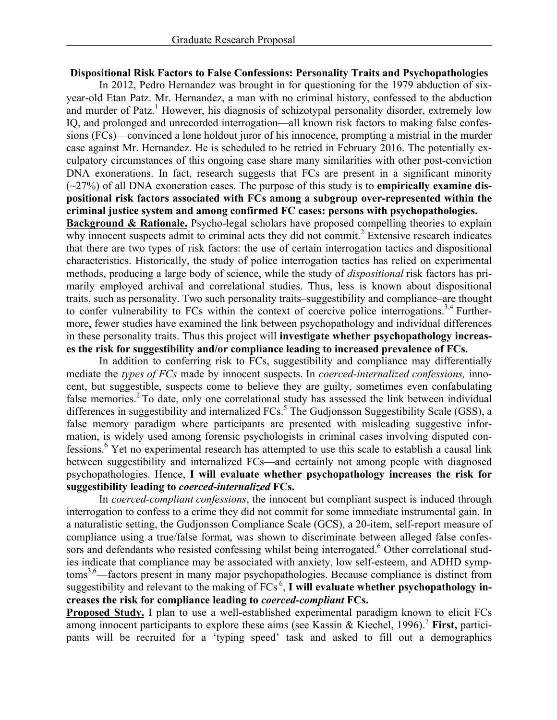## **Dispositional Risk Factors to False Confessions: Personality Traits and Psychopathologies**

In 2012, Pedro Hernandez was brought in for questioning for the 1979 abduction of sixyear-old Etan Patz. Mr. Hernandez, a man with no criminal history, confessed to the abduction and murder of Patz.<sup>1</sup> However, his diagnosis of schizotypal personality disorder, extremely low IQ, and prolonged and unrecorded interrogation—all known risk factors to making false confessions (FCs)—convinced a lone holdout juror of his innocence, prompting a mistrial in the murder case against Mr. Hernandez. He is scheduled to be retried in February 2016. The potentially exculpatory circumstances of this ongoing case share many similarities with other post-conviction DNA exonerations. In fact, research suggests that FCs are present in a significant minority (~27%) of all DNA exoneration cases. The purpose of this study is to **empirically examine dispositional risk factors associated with FCs among a subgroup over-represented within the criminal justice system and among confirmed FC cases: persons with psychopathologies.**

**Background & Rationale.** Psycho-legal scholars have proposed compelling theories to explain why innocent suspects admit to criminal acts they did not commit.<sup>2</sup> Extensive research indicates that there are two types of risk factors: the use of certain interrogation tactics and dispositional characteristics. Historically, the study of police interrogation tactics has relied on experimental methods, producing a large body of science, while the study of *dispositional* risk factors has primarily employed archival and correlational studies. Thus, less is known about dispositional traits, such as personality. Two such personality traits–suggestibility and compliance–are thought to confer vulnerability to FCs within the context of coercive police interrogations.<sup>3,4</sup> Furthermore, fewer studies have examined the link between psychopathology and individual differences in these personality traits. Thus this project will **investigate whether psychopathology increases the risk for suggestibility and/or compliance leading to increased prevalence of FCs.**

In addition to conferring risk to FCs, suggestibility and compliance may differentially mediate the *types of FCs* made by innocent suspects. In *coerced-internalized confessions,* innocent, but suggestible, suspects come to believe they are guilty, sometimes even confabulating false memories.<sup>2</sup> To date, only one correlational study has assessed the link between individual differences in suggestibility and internalized FCs.<sup>5</sup> The Gudjonsson Suggestibility Scale (GSS), a false memory paradigm where participants are presented with misleading suggestive information, is widely used among forensic psychologists in criminal cases involving disputed confessions. <sup>6</sup> Yet no experimental research has attempted to use this scale to establish a causal link between suggestibility and internalized FCs—and certainly not among people with diagnosed psychopathologies. Hence, **I will evaluate whether psychopathology increases the risk for suggestibility leading to** *coerced-internalized* **FCs.**

In *coerced-compliant confessions*, the innocent but compliant suspect is induced through interrogation to confess to a crime they did not commit for some immediate instrumental gain. In a naturalistic setting, the Gudjonsson Compliance Scale (GCS), a 20-item, self-report measure of compliance using a true/false format, was shown to discriminate between alleged false confessors and defendants who resisted confessing whilst being interrogated.<sup>6</sup> Other correlational studies indicate that compliance may be associated with anxiety, low self-esteem, and ADHD symptoms<sup>3,6</sup>—factors present in many major psychopathologies. Because compliance is distinct from suggestibility and relevant to the making of FCs<sup>6</sup>, I will evaluate whether psychopathology in**creases the risk for compliance leading to** *coerced-compliant* **FCs.**

**Proposed Study.** I plan to use a well-established experimental paradigm known to elicit FCs among innocent participants to explore these aims (see Kassin & Kiechel, 1996). <sup>7</sup> **First,** participants will be recruited for a 'typing speed' task and asked to fill out a demographics